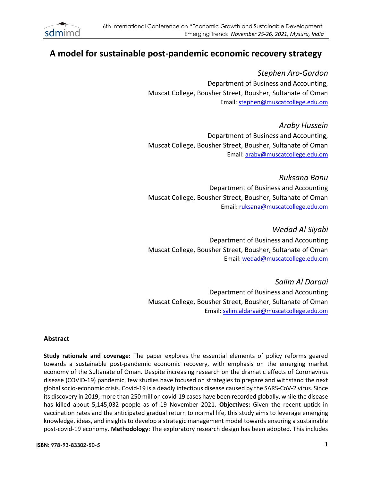

# **A model for sustainable post-pandemic economic recovery strategy**

*Stephen Aro-Gordon* Department of Business and Accounting, Muscat College, Bousher Street, Bousher, Sultanate of Oman Email[: stephen@muscatcollege.edu.om](mailto:stephen@muscatcollege.edu.om)

*Araby Hussein* Department of Business and Accounting, Muscat College, Bousher Street, Bousher, Sultanate of Oman Email: [araby@muscatcollege.edu.om](mailto:araby@muscatcollege.edu.om)

*Ruksana Banu* Department of Business and Accounting Muscat College, Bousher Street, Bousher, Sultanate of Oman Email[: ruksana@muscatcollege.edu.om](mailto:ruksana@muscatcollege.edu.om)

*Wedad Al Siyabi* Department of Business and Accounting Muscat College, Bousher Street, Bousher, Sultanate of Oman Email[: wedad@muscatcollege.edu.om](mailto:wedad@muscatcollege.edu.om)

*Salim Al Daraai* Department of Business and Accounting Muscat College, Bousher Street, Bousher, Sultanate of Oman Email: [salim.aldaraai@muscatcollege.edu.om](mailto:salim.aldaraai@muscatcollege.edu.om)

# **Abstract**

**Study rationale and coverage:** The paper explores the essential elements of policy reforms geared towards a sustainable post-pandemic economic recovery, with emphasis on the emerging market economy of the Sultanate of Oman. Despite increasing research on the dramatic effects of Coronavirus disease (COVID-19) pandemic, few studies have focused on strategies to prepare and withstand the next global socio-economic crisis. Covid-19 is a deadly infectious disease caused by the SARS-CoV-2 virus. Since its discovery in 2019, more than 250 million covid-19 cases have been recorded globally, while the disease has killed about 5,145,032 people as of 19 November 2021. **Objectives:** Given the recent uptick in vaccination rates and the anticipated gradual return to normal life, this study aims to leverage emerging knowledge, ideas, and insights to develop a strategic management model towards ensuring a sustainable post-covid-19 economy. **Methodology**: The exploratory research design has been adopted. This includes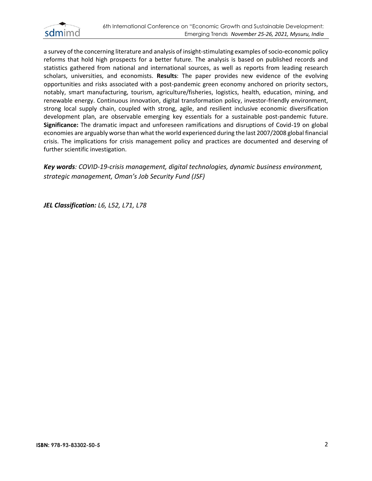

a survey of the concerning literature and analysis of insight-stimulating examples of socio-economic policy reforms that hold high prospects for a better future. The analysis is based on published records and statistics gathered from national and international sources, as well as reports from leading research scholars, universities, and economists. **Results**: The paper provides new evidence of the evolving opportunities and risks associated with a post-pandemic green economy anchored on priority sectors, notably, smart manufacturing, tourism, agriculture/fisheries, logistics, health, education, mining, and renewable energy. Continuous innovation, digital transformation policy, investor-friendly environment, strong local supply chain, coupled with strong, agile, and resilient inclusive economic diversification development plan, are observable emerging key essentials for a sustainable post-pandemic future. **Significance:** The dramatic impact and unforeseen ramifications and disruptions of Covid-19 on global economies are arguably worse than what the world experienced during the last 2007/2008 global financial crisis. The implications for crisis management policy and practices are documented and deserving of further scientific investigation.

*Key words: COVID-19-crisis management, digital technologies, dynamic business environment, strategic management, Oman's Job Security Fund (JSF)*

*JEL Classification: L6, L52, L71, L78*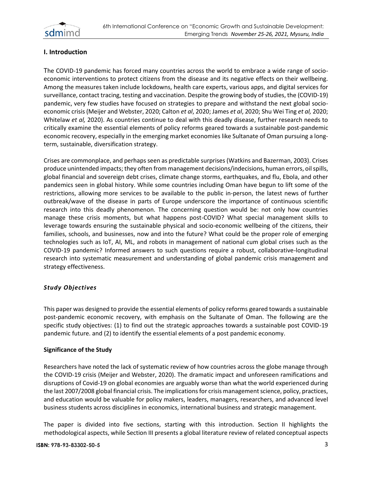

# **I. Introduction**

The COVID-19 pandemic has forced many countries across the world to embrace a wide range of socioeconomic interventions to protect citizens from the disease and its negative effects on their wellbeing. Among the measures taken include lockdowns, health care experts, various apps, and digital services for surveillance, contact tracing, testing and vaccination. Despite the growing body of studies, the (COVID-19) pandemic, very few studies have focused on strategies to prepare and withstand the next global socioeconomic crisis (Meijer and Webster, 2020; Calton *et al*, 2020; James *et al*, 2020; Shu Wei Ting *et al,* 2020; Whitelaw *et al,* 2020). As countries continue to deal with this deadly disease, further research needs to critically examine the essential elements of policy reforms geared towards a sustainable post-pandemic economic recovery, especially in the emerging market economies like Sultanate of Oman pursuing a longterm, sustainable, diversification strategy.

Crises are commonplace, and perhaps seen as predictable surprises (Watkins and Bazerman, 2003). Crises produce unintended impacts; they often from management decisions/indecisions, human errors, oil spills, global financial and sovereign debt crises, climate change storms, earthquakes, and flu, Ebola, and other pandemics seen in global history. While some countries including Oman have begun to lift some of the restrictions, allowing more services to be available to the public in-person, the latest news of further outbreak/wave of the disease in parts of Europe underscore the importance of continuous scientific research into this deadly phenomenon. The concerning question would be: not only how countries manage these crisis moments, but what happens post-COVID? What special management skills to leverage towards ensuring the sustainable physical and socio-economic wellbeing of the citizens, their families, schools, and businesses, now and into the future? What could be the proper role of emerging technologies such as IoT, AI, ML, and robots in management of national cum global crises such as the COVID-19 pandemic? Informed answers to such questions require a robust, collaborative-longitudinal research into systematic measurement and understanding of global pandemic crisis management and strategy effectiveness.

#### *Study Objectives*

This paper was designed to provide the essential elements of policy reforms geared towards a sustainable post-pandemic economic recovery, with emphasis on the Sultanate of Oman. The following are the specific study objectives: (1) to find out the strategic approaches towards a sustainable post COVID-19 pandemic future. and (2) to identify the essential elements of a post pandemic economy.

#### **Significance of the Study**

Researchers have noted the lack of systematic review of how countries across the globe manage through the COVID-19 crisis (Meijer and Webster, 2020). The dramatic impact and unforeseen ramifications and disruptions of Covid-19 on global economies are arguably worse than what the world experienced during the last 2007/2008 global financial crisis. The implications for crisis management science, policy, practices, and education would be valuable for policy makers, leaders, managers, researchers, and advanced level business students across disciplines in economics, international business and strategic management.

The paper is divided into five sections, starting with this introduction. Section II highlights the methodological aspects, while Section III presents a global literature review of related conceptual aspects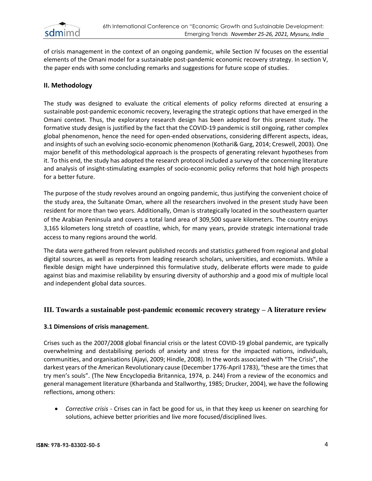

of crisis management in the context of an ongoing pandemic, while Section IV focuses on the essential elements of the Omani model for a sustainable post-pandemic economic recovery strategy. In section V, the paper ends with some concluding remarks and suggestions for future scope of studies.

# **II. Methodology**

The study was designed to evaluate the critical elements of policy reforms directed at ensuring a sustainable post-pandemic economic recovery, leveraging the strategic options that have emerged in the Omani context. Thus, the exploratory research design has been adopted for this present study. The formative study design is justified by the fact that the COVID-19 pandemic is still ongoing, rather complex global phenomenon, hence the need for open-ended observations, considering different aspects, ideas, and insights of such an evolving socio-economic phenomenon (Kothari& Garg, 2014; Creswell, 2003). One major benefit of this methodological approach is the prospects of generating relevant hypotheses from it. To this end, the study has adopted the research protocol included a survey of the concerning literature and analysis of insight-stimulating examples of socio-economic policy reforms that hold high prospects for a better future.

The purpose of the study revolves around an ongoing pandemic, thus justifying the convenient choice of the study area, the Sultanate Oman, where all the researchers involved in the present study have been resident for more than two years. Additionally, Oman is strategically located in the southeastern quarter of the Arabian Peninsula and covers a total land area of 309,500 square kilometers. The country enjoys 3,165 kilometers long stretch of coastline, which, for many years, provide strategic international trade access to many regions around the world.

The data were gathered from relevant published records and statistics gathered from regional and global digital sources, as well as reports from leading research scholars, universities, and economists. While a flexible design might have underpinned this formulative study, deliberate efforts were made to guide against bias and maximise reliability by ensuring diversity of authorship and a good mix of multiple local and independent global data sources.

#### **III. Towards a sustainable post-pandemic economic recovery strategy – A literature review**

#### **3.1 Dimensions of crisis management.**

Crises such as the 2007/2008 global financial crisis or the latest COVID-19 global pandemic, are typically overwhelming and destabilising periods of anxiety and stress for the impacted nations, individuals, communities, and organisations (Ajayi, 2009; Hindle, 2008). In the words associated with "The Crisis", the darkest years of the American Revolutionary cause (December 1776-April 1783), "these are the times that try men's souls". (The New Encyclopedia Britannica, 1974, p. 244) From a review of the economics and general management literature (Kharbanda and Stallworthy, 1985; Drucker, 2004), we have the following reflections, among others:

• *Corrective crisis* - Crises can in fact be good for us, in that they keep us keener on searching for solutions, achieve better priorities and live more focused/disciplined lives.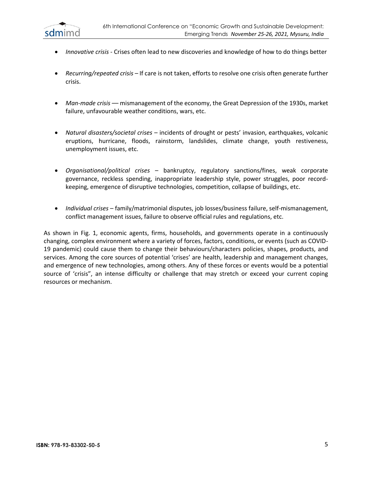

- *Innovative crisis* Crises often lead to new discoveries and knowledge of how to do things better
- *Recurring/repeated crisis* If care is not taken, efforts to resolve one crisis often generate further crisis.
- *Man-made crisis* –– mismanagement of the economy, the Great Depression of the 1930s, market failure, unfavourable weather conditions, wars, etc.
- *Natural disasters/societal crises* incidents of drought or pests' invasion, earthquakes, volcanic eruptions, hurricane, floods, rainstorm, landslides, climate change, youth restiveness, unemployment issues, etc.
- *Organisational/political crises* bankruptcy, regulatory sanctions/fines, weak corporate governance, reckless spending, inappropriate leadership style, power struggles, poor recordkeeping, emergence of disruptive technologies, competition, collapse of buildings, etc.
- *Individual crises* family/matrimonial disputes, job losses/business failure, self-mismanagement, conflict management issues, failure to observe official rules and regulations, etc.

As shown in Fig. 1, economic agents, firms, households, and governments operate in a continuously changing, complex environment where a variety of forces, factors, conditions, or events (such as COVID-19 pandemic) could cause them to change their behaviours/characters policies, shapes, products, and services. Among the core sources of potential 'crises' are health, leadership and management changes, and emergence of new technologies, among others. Any of these forces or events would be a potential source of 'crisis", an intense difficulty or challenge that may stretch or exceed your current coping resources or mechanism.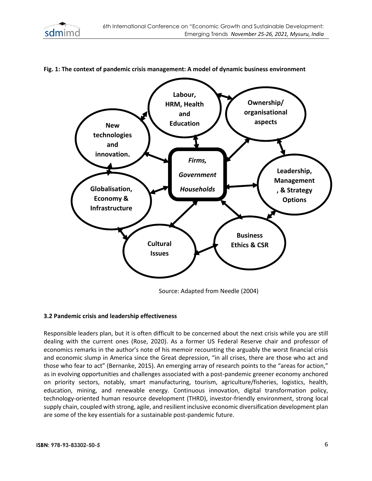



#### **Fig. 1: The context of pandemic crisis management: A model of dynamic business environment**

Source: Adapted from Needle (2004)

#### **3.2 Pandemic crisis and leadership effectiveness**

Responsible leaders plan, but it is often difficult to be concerned about the next crisis while you are still dealing with the current ones (Rose, 2020). As a former US Federal Reserve chair and professor of economics remarks in the author's note of his memoir recounting the arguably the worst financial crisis and economic slump in America since the Great depression, "in all crises, there are those who act and those who fear to act" (Bernanke, 2015). An emerging array of research points to the "areas for action," as in evolving opportunities and challenges associated with a post-pandemic greener economy anchored on priority sectors, notably, smart manufacturing, tourism, agriculture/fisheries, logistics, health, education, mining, and renewable energy. Continuous innovation, digital transformation policy, technology-oriented human resource development (THRD), investor-friendly environment, strong local supply chain, coupled with strong, agile, and resilient inclusive economic diversification development plan are some of the key essentials for a sustainable post-pandemic future.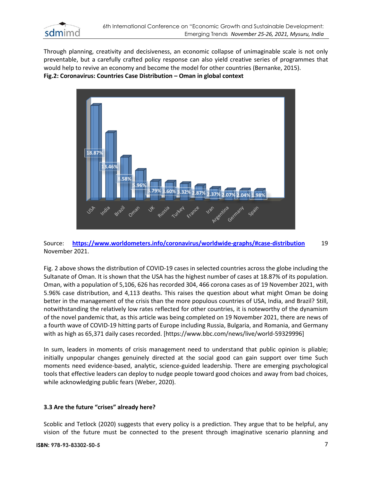

Through planning, creativity and decisiveness, an economic collapse of unimaginable scale is not only preventable, but a carefully crafted policy response can also yield creative series of programmes that would help to revive an economy and become the model for other countries (Bernanke, 2015). **Fig.2: Coronavirus: Countries Case Distribution – Oman in global context**



Source: **<https://www.worldometers.info/coronavirus/worldwide-graphs/#case-distribution>** 19 November 2021.

Fig. 2 above shows the distribution of COVID-19 cases in selected countries across the globe including the Sultanate of Oman. It is shown that the USA has the highest number of cases at 18.87% of its population. Oman, with a population of 5,106, 626 has recorded 304, 466 corona cases as of 19 November 2021, with 5.96% case distribution, and 4,113 deaths. This raises the question about what might Oman be doing better in the management of the crisis than the more populous countries of USA, India, and Brazil? Still, notwithstanding the relatively low rates reflected for other countries, it is noteworthy of the dynamism of the novel pandemic that, as this article was being completed on 19 November 2021, there are news of a fourth wave of COVID-19 hitting parts of Europe including Russia, Bulgaria, and Romania, and Germany with as high as 65,371 daily cases recorded. [https://www.bbc.com/news/live/world-59329996]

In sum, leaders in moments of crisis management need to understand that public opinion is pliable; initially unpopular changes genuinely directed at the social good can gain support over time Such moments need evidence-based, analytic, science-guided leadership. There are emerging psychological tools that effective leaders can deploy to nudge people toward good choices and away from bad choices, while acknowledging public fears (Weber, 2020).

#### **3.3 Are the future "crises" already here?**

Scoblic and Tetlock (2020) suggests that every policy is a prediction. They argue that to be helpful, any vision of the future must be connected to the present through imaginative scenario planning and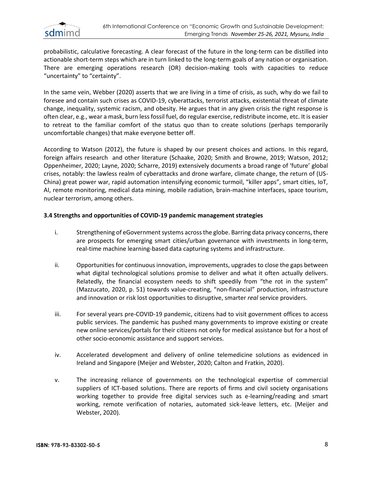

probabilistic, calculative forecasting. A clear forecast of the future in the long-term can be distilled into actionable short-term steps which are in turn linked to the long-term goals of any nation or organisation. There are emerging operations research (OR) decision-making tools with capacities to reduce "uncertainty" to "certainty".

In the same vein, Webber (2020) asserts that we are living in a time of crisis, as such, why do we fail to foresee and contain such crises as COVID-19, cyberattacks, terrorist attacks, existential threat of climate change, inequality, systemic racism, and obesity. He argues that in any given crisis the right response is often clear, e.g., wear a mask, burn less fossil fuel, do regular exercise, redistribute income, etc. It is easier to retreat to the familiar comfort of the status quo than to create solutions (perhaps temporarily uncomfortable changes) that make everyone better off.

According to Watson (2012), the future is shaped by our present choices and actions. In this regard, foreign affairs research and other literature (Schaake, 2020; Smith and Browne, 2019; Watson, 2012; Oppenheimer, 2020; Layne, 2020; Scharre, 2019) extensively documents a broad range of 'future' global crises, notably: the lawless realm of cyberattacks and drone warfare, climate change, the return of (US-China) great power war, rapid automation intensifying economic turmoil, "killer apps", smart cities, IoT, AI, remote monitoring, medical data mining, mobile radiation, brain-machine interfaces, space tourism, nuclear terrorism, among others.

## **3.4 Strengths and opportunities of COVID-19 pandemic management strategies**

- i. Strengthening of eGovernment systems across the globe. Barring data privacy concerns, there are prospects for emerging smart cities/urban governance with investments in long-term, real-time machine learning-based data capturing systems and infrastructure.
- ii. Opportunities for continuous innovation, improvements, upgrades to close the gaps between what digital technological solutions promise to deliver and what it often actually delivers. Relatedly, the financial ecosystem needs to shift speedily from "the rot in the system" (Mazzucato, 2020, p. 51) towards value-creating, "non-financial" production, infrastructure and innovation or risk lost opportunities to disruptive, smarter *real* service providers.
- iii. For several years pre-COVID-19 pandemic, citizens had to visit government offices to access public services. The pandemic has pushed many governments to improve existing or create new online services/portals for their citizens not only for medical assistance but for a host of other socio-economic assistance and support services.
- iv. Accelerated development and delivery of online telemedicine solutions as evidenced in Ireland and Singapore (Meijer and Webster, 2020; Calton and Fratkin, 2020).
- v. The increasing reliance of governments on the technological expertise of commercial suppliers of ICT-based solutions. There are reports of firms and civil society organisations working together to provide free digital services such as e-learning/reading and smart working, remote verification of notaries, automated sick-leave letters, etc. (Meijer and Webster, 2020).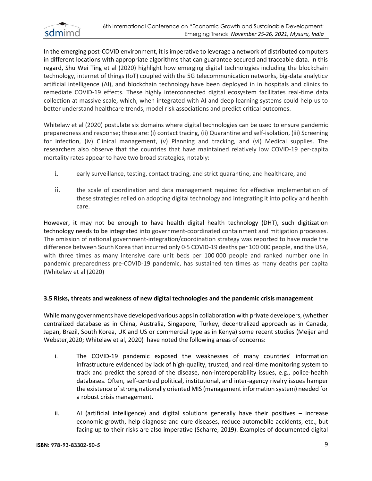

In the emerging post-COVID environment, it is imperative to leverage a network of distributed computers in different locations with appropriate algorithms that can guarantee secured and traceable data. In this regard, Shu Wei Ting et al (2020) highlight how emerging digital technologies including the blockchain technology, internet of things (IoT) coupled with the 5G telecommunication networks, big-data analytics, artificial intelligence (AI), and blockchain technology have been deployed in in hospitals and clinics to remediate COVID-19 effects. These highly interconnected digital ecosystem facilitates real-time data collection at massive scale, which, when integrated with AI and deep learning systems could help us to better understand healthcare trends, model risk associations and predict critical outcomes.

Whitelaw et al (2020) postulate six domains where digital technologies can be used to ensure pandemic preparedness and response; these are: (i) contact tracing, (ii) Quarantine and self-isolation, (iii) Screening for infection, (iv) Clinical management, (v) Planning and tracking, and (vi) Medical supplies. The researchers also observe that the countries that have maintained relatively low COVID-19 per-capita mortality rates appear to have two broad strategies, notably:

- i. early surveillance, testing, contact tracing, and strict quarantine, and healthcare, and
- ii. the scale of coordination and data management required for effective implementation of these strategies relied on adopting digital technology and integrating it into policy and health care.

However, it may not be enough to have health digital health technology (DHT), such digitization technology needs to be integrated into government-coordinated containment and mitigation processes. The omission of national government-integration/coordination strategy was reported to have made the difference between South Korea that incurred only 0.5 COVID-19 deaths per 100 000 people, and the USA, with three times as many intensive care unit beds per 100000 people and ranked number one in pandemic preparedness pre-COVID-19 pandemic, has sustained ten times as many deaths per capita (Whitelaw et al (2020)

#### **3.5 Risks, threats and weakness of new digital technologies and the pandemic crisis management**

While many governments have developed various apps in collaboration with private developers, (whether centralized database as in China, Australia, Singapore, Turkey, decentralized approach as in Canada, Japan, Brazil, South Korea, UK and US or commercial type as in Kenya) some recent studies (Meijer and Webster,2020; Whitelaw et al, 2020) have noted the following areas of concerns:

- i. The COVID-19 pandemic exposed the weaknesses of many countries' information infrastructure evidenced by lack of high-quality, trusted, and real-time monitoring system to track and predict the spread of the disease, non-interoperability issues, e.g., police-health databases. Often, self-centred political, institutional, and inter-agency rivalry issues hamper the existence of strong nationally oriented MIS (management information system) needed for a robust crisis management.
- ii. AI (artificial intelligence) and digital solutions generally have their positives increase economic growth, help diagnose and cure diseases, reduce automobile accidents, etc., but facing up to their risks are also imperative (Scharre, 2019). Examples of documented digital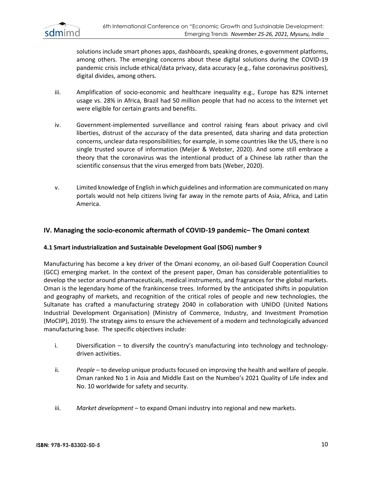

solutions include smart phones apps, dashboards, speaking drones, e-government platforms, among others. The emerging concerns about these digital solutions during the COVID-19 pandemic crisis include ethical/data privacy, data accuracy (e.g., false coronavirus positives), digital divides, among others.

- iii. Amplification of socio-economic and healthcare inequality e.g., Europe has 82% internet usage vs. 28% in Africa, Brazil had 50 million people that had no access to the Internet yet were eligible for certain grants and benefits.
- iv. Government-implemented surveillance and control raising fears about privacy and civil liberties, distrust of the accuracy of the data presented, data sharing and data protection concerns, unclear data responsibilities; for example, in some countries like the US, there is no single trusted source of information (Meijer & Webster, 2020). And some still embrace a theory that the coronavirus was the intentional product of a Chinese lab rather than the scientific consensus that the virus emerged from bats (Weber, 2020).
- v. Limited knowledge of English in which guidelines and information are communicated on many portals would not help citizens living far away in the remote parts of Asia, Africa, and Latin America.

# **IV. Managing the socio-economic aftermath of COVID-19 pandemic– The Omani context**

#### **4.1 Smart industrialization and Sustainable Development Goal (SDG) number 9**

Manufacturing has become a key driver of the Omani economy, an oil-based Gulf Cooperation Council (GCC) emerging market. In the context of the present paper, Oman has considerable potentialities to develop the sector around pharmaceuticals, medical instruments, and fragrances for the global markets. Oman is the legendary home of the frankincense trees. Informed by the anticipated shifts in population and geography of markets, and recognition of the critical roles of people and new technologies, the Sultanate has crafted a manufacturing strategy 2040 in collaboration with UNIDO (United Nations Industrial Development Organisation) (Ministry of Commerce, Industry, and Investment Promotion (MoCIIP), 2019). The strategy aims to ensure the achievement of a modern and technologically advanced manufacturing base. The specific objectives include:

- i. Diversification to diversify the country's manufacturing into technology and technologydriven activities.
- ii. *People* to develop unique products focused on improving the health and welfare of people. Oman ranked No 1 in Asia and Middle East on the Numbeo's 2021 Quality of Life index and No. 10 worldwide for safety and security.
- iii. *Market development*  to expand Omani industry into regional and new markets.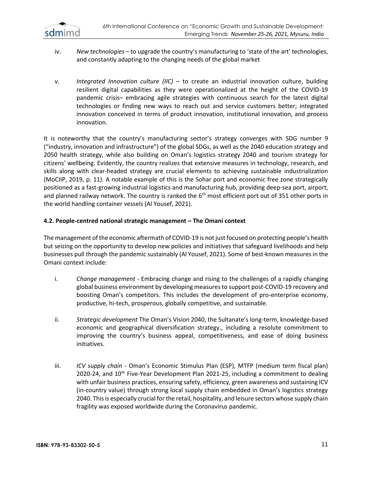

- iv. *New technologies* to upgrade the country's manufacturing to 'state of the art' technologies, and constantly adapting to the changing needs of the global market
- v. *Integrated Innovation culture (IIC)* to create an industrial innovation culture, building resilient digital capabilities as they were operationalized at the height of the COVID-19 pandemic crisis– embracing agile strategies with continuous search for the latest digital technologies or finding new ways to reach out and service customers better; integrated innovation conceived in terms of product innovation, institutional innovation, and process innovation.

It is noteworthy that the country's manufacturing sector's strategy converges with SDG number 9 ("industry, innovation and infrastructure") of the global SDGs, as well as the 2040 education strategy and 2050 health strategy, while also building on Oman's logistics strategy 2040 and tourism strategy for citizens' wellbeing. Evidently, the country realizes that extensive measures in technology, research, and skills along with clear-headed strategy are crucial elements to achieving sustainable industrialization (MoCIIP, 2019, p. 11). A notable example of this is the Sohar port and economic free zone strategically positioned as a fast-growing industrial logistics and manufacturing hub, providing deep-sea port, airport, and planned railway network. The country is ranked the 6<sup>th</sup> most efficient port out of 351 other ports in the world handling container vessels (Al Yousef, 2021).

## **4.2. People-centred national strategic management – The Omani context**

The management of the economic aftermath of COVID-19 is not just focused on protecting people's health but seizing on the opportunity to develop new policies and initiatives that safeguard livelihoods and help businesses pull through the pandemic sustainably (Al Yousef, 2021). Some of best-known measures in the Omani context include:

- i. *Change management* Embracing change and rising to the challenges of a rapidly changing global business environment by developing measures to support post-COVID-19 recovery and boosting Oman's competitors. This includes the development of pro-enterprise economy, productive, hi-tech, prosperous, globally competitive, and sustainable.
- ii. *Strategic development* The Oman's Vision 2040, the Sultanate's long-term, knowledge-based economic and geographical diversification strategy., including a resolute commitment to improving the country's business appeal, competitiveness, and ease of doing business initiatives.
- iii. *ICV supply chain -* Oman's Economic Stimulus Plan (ESP), MTFP (medium term fiscal plan) 2020-24, and 10<sup>th</sup> Five-Year Development Plan 2021-25, including a commitment to dealing with unfair business practices, ensuring safety, efficiency, green awareness and sustaining ICV (in-country value) through strong local supply chain embedded in Oman's logistics strategy 2040. This is especially crucial for the retail, hospitality, and leisure sectors whose supply chain fragility was exposed worldwide during the Coronavirus pandemic.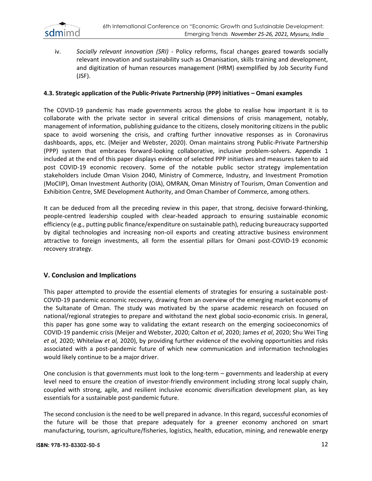

iv. *Socially relevant innovation (SRI)* - Policy reforms, fiscal changes geared towards socially relevant innovation and sustainability such as Omanisation, skills training and development, and digitization of human resources management (HRM) exemplified by Job Security Fund (JSF).

#### **4.3. Strategic application of the Public-Private Partnership (PPP) initiatives – Omani examples**

The COVID-19 pandemic has made governments across the globe to realise how important it is to collaborate with the private sector in several critical dimensions of crisis management, notably, management of information, publishing guidance to the citizens, closely monitoring citizens in the public space to avoid worsening the crisis, and crafting further innovative responses as in Coronavirus dashboards, apps, etc. (Meijer and Webster, 2020). Oman maintains strong Public-Private Partnership (PPP) system that embraces forward-looking collaborative, inclusive problem-solvers. Appendix 1 included at the end of this paper displays evidence of selected PPP initiatives and measures taken to aid post COVID-19 economic recovery. Some of the notable public sector strategy implementation stakeholders include Oman Vision 2040, Ministry of Commerce, Industry, and Investment Promotion (MoCIIP), Oman Investment Authority (OIA), OMRAN, Oman Ministry of Tourism, Oman Convention and Exhibition Centre, SME Development Authority, and Oman Chamber of Commerce, among others.

It can be deduced from all the preceding review in this paper, that strong, decisive forward-thinking, people-centred leadership coupled with clear-headed approach to ensuring sustainable economic efficiency (e.g., putting public finance/expenditure on sustainable path), reducing bureaucracy supported by digital technologies and increasing non-oil exports and creating attractive business environment attractive to foreign investments, all form the essential pillars for Omani post-COVID-19 economic recovery strategy.

#### **V. Conclusion and Implications**

This paper attempted to provide the essential elements of strategies for ensuring a sustainable post-COVID-19 pandemic economic recovery, drawing from an overview of the emerging market economy of the Sultanate of Oman. The study was motivated by the sparse academic research on focused on national/regional strategies to prepare and withstand the next global socio-economic crisis. In general, this paper has gone some way to validating the extant research on the emerging socioeconomics of COVID-19 pandemic crisis (Meijer and Webster, 2020; Calton *et al*, 2020; James *et al*, 2020; Shu Wei Ting *et al,* 2020; Whitelaw *et al,* 2020), by providing further evidence of the evolving opportunities and risks associated with a post-pandemic future of which new communication and information technologies would likely continue to be a major driver.

One conclusion is that governments must look to the long-term – governments and leadership at every level need to ensure the creation of investor-friendly environment including strong local supply chain, coupled with strong, agile, and resilient inclusive economic diversification development plan, as key essentials for a sustainable post-pandemic future.

The second conclusion is the need to be well prepared in advance. In this regard, successful economies of the future will be those that prepare adequately for a greener economy anchored on smart manufacturing, tourism, agriculture/fisheries, logistics, health, education, mining, and renewable energy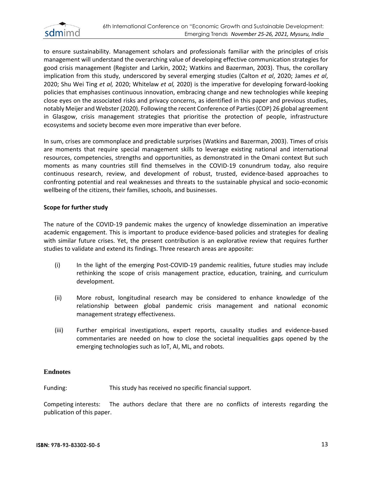

to ensure sustainability. Management scholars and professionals familiar with the principles of crisis management will understand the overarching value of developing effective communication strategies for good crisis management (Register and Larkin, 2002; Watkins and Bazerman, 2003). Thus, the corollary implication from this study, underscored by several emerging studies (Calton *et al*, 2020; James *et al*, 2020; Shu Wei Ting *et al,* 2020; Whitelaw *et al,* 2020) is the imperative for developing forward-looking policies that emphasises continuous innovation, embracing change and new technologies while keeping close eyes on the associated risks and privacy concerns, as identified in this paper and previous studies, notably Meijer and Webster (2020). Following the recent Conference of Parties (COP) 26 global agreement in Glasgow, crisis management strategies that prioritise the protection of people, infrastructure ecosystems and society become even more imperative than ever before.

In sum, crises are commonplace and predictable surprises (Watkins and Bazerman, 2003). Times of crisis are moments that require special management skills to leverage existing national and international resources, competencies, strengths and opportunities, as demonstrated in the Omani context But such moments as many countries still find themselves in the COVID-19 conundrum today, also require continuous research, review, and development of robust, trusted, evidence-based approaches to confronting potential and real weaknesses and threats to the sustainable physical and socio-economic wellbeing of the citizens, their families, schools, and businesses.

#### **Scope for further study**

The nature of the COVID-19 pandemic makes the urgency of knowledge dissemination an imperative academic engagement. This is important to produce evidence-based policies and strategies for dealing with similar future crises. Yet, the present contribution is an explorative review that requires further studies to validate and extend its findings. Three research areas are apposite:

- (i) In the light of the emerging Post-COVID-19 pandemic realities, future studies may include rethinking the scope of crisis management practice, education, training, and curriculum development.
- (ii) More robust, longitudinal research may be considered to enhance knowledge of the relationship between global pandemic crisis management and national economic management strategy effectiveness.
- (iii) Further empirical investigations, expert reports, causality studies and evidence-based commentaries are needed on how to close the societal inequalities gaps opened by the emerging technologies such as IoT, AI, ML, and robots.

#### **Endnotes**

Funding: This study has received no specific financial support.

Competing interests: The authors declare that there are no conflicts of interests regarding the publication of this paper.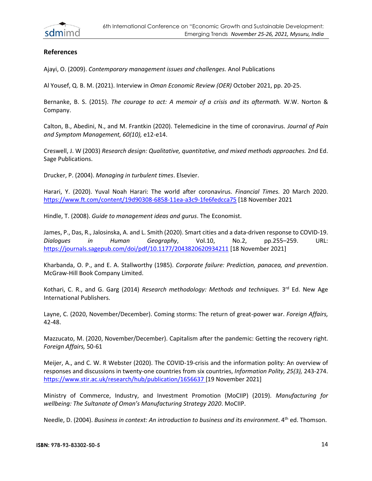

# **References**

Ajayi, O. (2009). *Contemporary management issues and challenges.* Anol Publications

Al Yousef, Q. B. M. (2021). Interview in *Oman Economic Review (OER)* October 2021, pp. 20-25.

Bernanke, B. S. (2015). *The courage to act: A memoir of a crisis and its aftermath.* W.W. Norton & Company.

Calton, B., Abedini, N., and M. Frantkin (2020). Telemedicine in the time of coronavirus. *Journal of Pain and Symptom Management, 60(10),* e12-e14.

Creswell, J. W (2003) *Research design: Qualitative, quantitative, and mixed methods approaches.* 2nd Ed. Sage Publications.

Drucker, P. (2004). *Managing in turbulent times*. Elsevier.

Harari, Y. (2020). Yuval Noah Harari: The world after coronavirus. *Financial Times.* 20 March 2020. [https://www.ft.com/content/19d90308-6858-11ea-a3c9-1fe6fedcca75](https://www.ft.com/content/19d90308-6858-11ea-a3c9-1fe6fedcca75%20%5b18) [18 November 2021

Hindle, T. (2008). *Guide to management ideas and gurus*. The Economist.

James, P., Das, R., Jalosinska, A. and L. Smith (2020). Smart cities and a data-driven response to COVID-19. *Dialogues in Human Geography*, Vol.10, No.2, pp.255–259. URL: <https://journals.sagepub.com/doi/pdf/10.1177/2043820620934211> [18 November 2021]

Kharbanda, O. P., and E. A. Stallworthy (1985). *Corporate failure: Prediction, panacea, and prevention*. McGraw-Hill Book Company Limited.

Kothari, C. R., and G. Garg (2014) *Research methodology: Methods and techniques*. 3<sup>rd</sup> Ed. New Age International Publishers.

Layne, C. (2020, November/December). Coming storms: The return of great-power war. *Foreign Affairs,* 42-48.

Mazzucato, M. (2020, November/December). Capitalism after the pandemic: Getting the recovery right. *Foreign Affairs,* 50-61

Meijer, A., and C. W. R Webster (2020). The COVID-19-crisis and the information polity: An overview of responses and discussions in twenty-one countries from six countries, *Information Polity, 25(3),* 243-274. [https://www.stir.ac.uk/research/hub/publication/1656637 \[](https://www.stir.ac.uk/research/hub/publication/1656637%20%5b20)19 November 2021]

Ministry of Commerce, Industry, and Investment Promotion (MoCIIP) (2019). *Manufacturing for wellbeing: The Sultanate of Oman's Manufacturing Strategy 2020*. MoCIIP.

Needle, D. (2004). *Business in context: An introduction to business and its environment*. 4<sup>th</sup> ed. Thomson.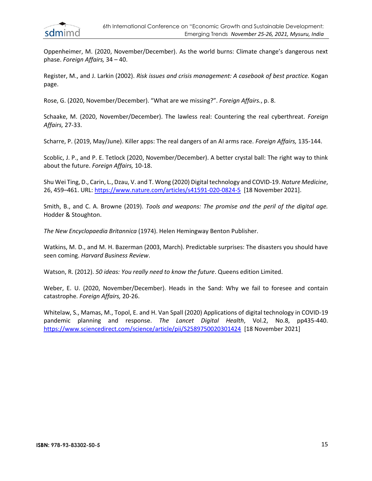

Oppenheimer, M. (2020, November/December). As the world burns: Climate change's dangerous next phase. *Foreign Affairs,* 34 – 40.

Register, M., and J. Larkin (2002). *Risk issues and crisis management: A casebook of best practice.* Kogan page.

Rose, G. (2020, November/December). "What are we missing?". *Foreign Affairs.*, p. 8.

Schaake, M. (2020, November/December). The lawless real: Countering the real cyberthreat. *Foreign Affairs,* 27-33.

Scharre, P. (2019, May/June). Killer apps: The real dangers of an AI arms race. *Foreign Affairs,* 135-144.

Scoblic, J. P., and P. E. Tetlock (2020, November/December). A better crystal ball: The right way to think about the future. *Foreign Affairs,* 10-18.

Shu Wei Ting, D., Carin, L., Dzau, V. and T. Wong (2020) Digital technology and COVID-19. *Nature Medicine*, 26, 459–461. URL[: https://www.nature.com/articles/s41591-020-0824-5](https://www.nature.com/articles/s41591-020-0824-5%20%5b18) [18 November 2021].

Smith, B., and C. A. Browne (2019). *Tools and weapons: The promise and the peril of the digital age.* Hodder & Stoughton.

*The New Encyclopaedia Britannica* (1974). Helen Hemingway Benton Publisher.

Watkins, M. D., and M. H. Bazerman (2003, March). Predictable surprises: The disasters you should have seen coming. *Harvard Business Review*.

Watson, R. (2012). *50 ideas: You really need to know the future*. Queens edition Limited.

Weber, E. U. (2020, November/December). Heads in the Sand: Why we fail to foresee and contain catastrophe. *Foreign Affairs,* 20-26.

Whitelaw, S., Mamas, M., Topol, E. and H. Van Spall (2020) Applications of digital technology in COVID-19 pandemic planning and response. *The Lancet Digital Health*, Vol.2, No.8, pp435-440. <https://www.sciencedirect.com/science/article/pii/S2589750020301424>[18 November 2021]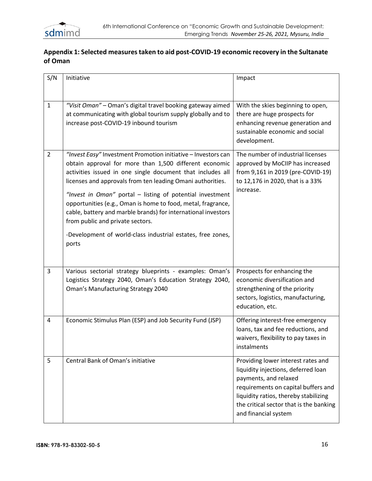

# **Appendix 1: Selected measures taken to aid post-COVID-19 economic recovery in the Sultanate of Oman**

| S/N            | Initiative                                                                                                                                                                                                                                                                                                                                                                                                                                                                                                                                                    | Impact                                                                                                                                                                                                                                                |
|----------------|---------------------------------------------------------------------------------------------------------------------------------------------------------------------------------------------------------------------------------------------------------------------------------------------------------------------------------------------------------------------------------------------------------------------------------------------------------------------------------------------------------------------------------------------------------------|-------------------------------------------------------------------------------------------------------------------------------------------------------------------------------------------------------------------------------------------------------|
| $\mathbf{1}$   | "Visit Oman" - Oman's digital travel booking gateway aimed<br>at communicating with global tourism supply globally and to<br>increase post-COVID-19 inbound tourism                                                                                                                                                                                                                                                                                                                                                                                           | With the skies beginning to open,<br>there are huge prospects for<br>enhancing revenue generation and<br>sustainable economic and social<br>development.                                                                                              |
| $\overline{2}$ | "Invest Easy" Investment Promotion initiative - Investors can<br>obtain approval for more than 1,500 different economic<br>activities issued in one single document that includes all<br>licenses and approvals from ten leading Omani authorities.<br>"Invest in Oman" portal - listing of potential investment<br>opportunities (e.g., Oman is home to food, metal, fragrance,<br>cable, battery and marble brands) for international investors<br>from public and private sectors.<br>-Development of world-class industrial estates, free zones,<br>ports | The number of industrial licenses<br>approved by MoCIIP has increased<br>from 9,161 in 2019 (pre-COVID-19)<br>to 12,176 in 2020, that is a 33%<br>increase.                                                                                           |
| 3              | Various sectorial strategy blueprints - examples: Oman's<br>Logistics Strategy 2040, Oman's Education Strategy 2040,<br>Oman's Manufacturing Strategy 2040                                                                                                                                                                                                                                                                                                                                                                                                    | Prospects for enhancing the<br>economic diversification and<br>strengthening of the priority<br>sectors, logistics, manufacturing,<br>education, etc.                                                                                                 |
| 4              | Economic Stimulus Plan (ESP) and Job Security Fund (JSP)                                                                                                                                                                                                                                                                                                                                                                                                                                                                                                      | Offering interest-free emergency<br>loans, tax and fee reductions, and<br>waivers, flexibility to pay taxes in<br>instalments                                                                                                                         |
| 5              | Central Bank of Oman's initiative                                                                                                                                                                                                                                                                                                                                                                                                                                                                                                                             | Providing lower interest rates and<br>liquidity injections, deferred loan<br>payments, and relaxed<br>requirements on capital buffers and<br>liquidity ratios, thereby stabilizing<br>the critical sector that is the banking<br>and financial system |